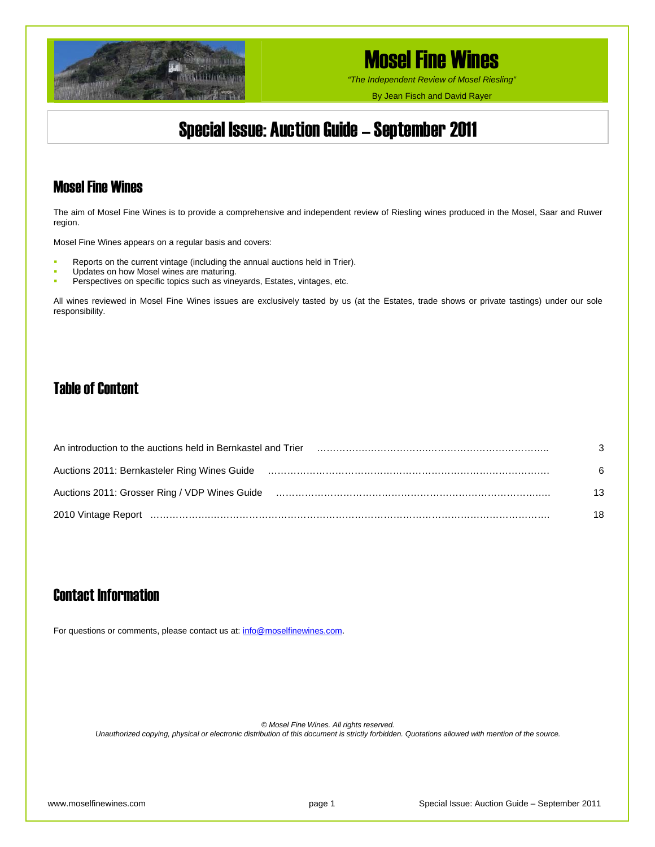

*"The Independent Review of Mosel Riesling"*

By Jean Fisch and David Rayer

## Special Issue: Auction Guide – September 2011

### Mosel Fine Wines

The aim of Mosel Fine Wines is to provide a comprehensive and independent review of Riesling wines produced in the Mosel, Saar and Ruwer region.

Mosel Fine Wines appears on a regular basis and covers:

- Reports on the current vintage (including the annual auctions held in Trier).
- Updates on how Mosel wines are maturing.
- **Perspectives on specific topics such as vineyards, Estates, vintages, etc.**

All wines reviewed in Mosel Fine Wines issues are exclusively tasted by us (at the Estates, trade shows or private tastings) under our sole responsibility.

### Table of Content

| An introduction to the auctions held in Bernkastel and Trier                                                   | 3  |
|----------------------------------------------------------------------------------------------------------------|----|
| Auctions 2011: Bernkasteler Ring Wines Guide                                                                   | 6  |
| Auctions 2011: Grosser Ring / VDP Wines Guide (and the content content content content content content content | 13 |
|                                                                                                                | 18 |

## Contact Information

For questions or comments, please contact us at: [info@moselfinewines.com](mailto:info@moselfinewines.com).

*© Mosel Fine Wines. All rights reserved.* 

*Unauthorized copying, physical or electronic distribution of this document is strictly forbidden. Quotations allowed with mention of the source.*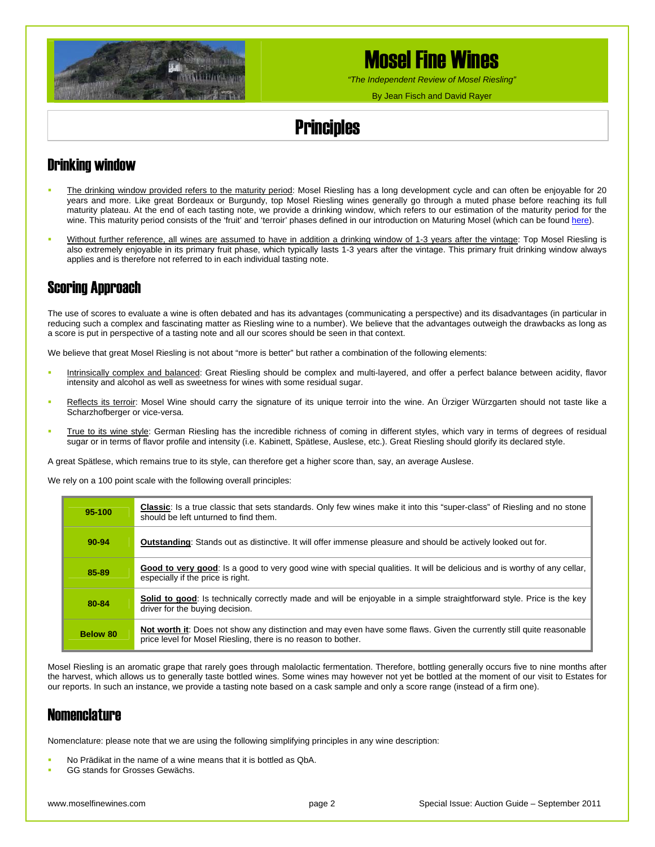

*"The Independent Review of Mosel Riesling"*

By Jean Fisch and David Rayer

# **Principles**

## Drinking window

- The drinking window provided refers to the maturity period: Mosel Riesling has a long development cycle and can often be enjoyable for 20 years and more. Like great Bordeaux or Burgundy, top Mosel Riesling wines generally go through a muted phase before reaching its full maturity plateau. At the end of each tasting note, we provide a drinking window, which refers to our estimation of the maturity period for the wine. This maturity period consists of the 'fruit' and 'terroir' phases defined in our introduction on Maturing Mosel (which can be found [here\)](http://www.moselfinewines.com/maturingmosel.htm).
- Without further reference, all wines are assumed to have in addition a drinking window of 1-3 years after the vintage: Top Mosel Riesling is also extremely enjoyable in its primary fruit phase, which typically lasts 1-3 years after the vintage. This primary fruit drinking window always applies and is therefore not referred to in each individual tasting note.

## Scoring Approach

The use of scores to evaluate a wine is often debated and has its advantages (communicating a perspective) and its disadvantages (in particular in reducing such a complex and fascinating matter as Riesling wine to a number). We believe that the advantages outweigh the drawbacks as long as a score is put in perspective of a tasting note and all our scores should be seen in that context.

We believe that great Mosel Riesling is not about "more is better" but rather a combination of the following elements:

- Intrinsically complex and balanced: Great Riesling should be complex and multi-layered, and offer a perfect balance between acidity, flavor intensity and alcohol as well as sweetness for wines with some residual sugar.
- **Reflects its terroir: Mosel Wine should carry the signature of its unique terroir into the wine. An Ürziger Würzgarten should not taste like a** Scharzhofberger or vice-versa.
- True to its wine style: German Riesling has the incredible richness of coming in different styles, which vary in terms of degrees of residual sugar or in terms of flavor profile and intensity (i.e. Kabinett, Spätlese, Auslese, etc.). Great Riesling should glorify its declared style.

A great Spätlese, which remains true to its style, can therefore get a higher score than, say, an average Auslese.

We rely on a 100 point scale with the following overall principles:

| 95-100    | <b>Classic:</b> Is a true classic that sets standards. Only few wines make it into this "super-class" of Riesling and no stone<br>should be left unturned to find them.               |
|-----------|---------------------------------------------------------------------------------------------------------------------------------------------------------------------------------------|
| $90 - 94$ | <b>Outstanding:</b> Stands out as distinctive. It will offer immense pleasure and should be actively looked out for.                                                                  |
| 85-89     | Good to very good: Is a good to very good wine with special qualities. It will be delicious and is worthy of any cellar,<br>especially if the price is right.                         |
| 80-84     | Solid to good: Is technically correctly made and will be enjoyable in a simple straightforward style. Price is the key<br>driver for the buying decision.                             |
| Below 80  | Not worth it: Does not show any distinction and may even have some flaws. Given the currently still quite reasonable<br>price level for Mosel Riesling, there is no reason to bother. |

Mosel Riesling is an aromatic grape that rarely goes through malolactic fermentation. Therefore, bottling generally occurs five to nine months after the harvest, which allows us to generally taste bottled wines. Some wines may however not yet be bottled at the moment of our visit to Estates for our reports. In such an instance, we provide a tasting note based on a cask sample and only a score range (instead of a firm one).

### **Nomenclature**

Nomenclature: please note that we are using the following simplifying principles in any wine description:

- No Prädikat in the name of a wine means that it is bottled as QbA.
- GG stands for Grosses Gewächs.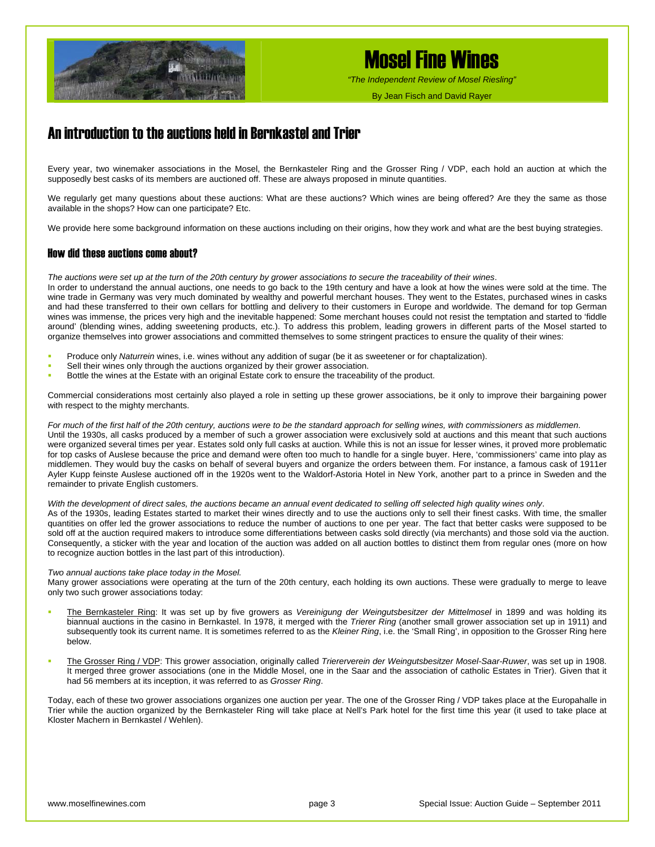

*"The Independent Review of Mosel Riesling"*

By Jean Fisch and David Rayer

## An introduction to the auctions held in Bernkastel and Trier

Every year, two winemaker associations in the Mosel, the Bernkasteler Ring and the Grosser Ring / VDP, each hold an auction at which the supposedly best casks of its members are auctioned off. These are always proposed in minute quantities.

We regularly get many questions about these auctions: What are these auctions? Which wines are being offered? Are they the same as those available in the shops? How can one participate? Etc.

We provide here some background information on these auctions including on their origins, how they work and what are the best buying strategies.

#### How did these auctions come about?

*The auctions were set up at the turn of the 20th century by grower associations to secure the traceability of their wines*.

In order to understand the annual auctions, one needs to go back to the 19th century and have a look at how the wines were sold at the time. The wine trade in Germany was very much dominated by wealthy and powerful merchant houses. They went to the Estates, purchased wines in casks and had these transferred to their own cellars for bottling and delivery to their customers in Europe and worldwide. The demand for top German wines was immense, the prices very high and the inevitable happened: Some merchant houses could not resist the temptation and started to 'fiddle around' (blending wines, adding sweetening products, etc.). To address this problem, leading growers in different parts of the Mosel started to organize themselves into grower associations and committed themselves to some stringent practices to ensure the quality of their wines:

- Produce only *Naturrein* wines, i.e. wines without any addition of sugar (be it as sweetener or for chaptalization).
- Sell their wines only through the auctions organized by their grower association.
- Bottle the wines at the Estate with an original Estate cork to ensure the traceability of the product.

Commercial considerations most certainly also played a role in setting up these grower associations, be it only to improve their bargaining power with respect to the mighty merchants.

*For much of the first half of the 20th century, auctions were to be the standard approach for selling wines, with commissioners as middlemen*. Until the 1930s, all casks produced by a member of such a grower association were exclusively sold at auctions and this meant that such auctions were organized several times per year. Estates sold only full casks at auction. While this is not an issue for lesser wines, it proved more problematic for top casks of Auslese because the price and demand were often too much to handle for a single buyer. Here, 'commissioners' came into play as middlemen. They would buy the casks on behalf of several buyers and organize the orders between them. For instance, a famous cask of 1911er Ayler Kupp feinste Auslese auctioned off in the 1920s went to the Waldorf-Astoria Hotel in New York, another part to a prince in Sweden and the remainder to private English customers.

#### *With the development of direct sales, the auctions became an annual event dedicated to selling off selected high quality wines only*.

As of the 1930s, leading Estates started to market their wines directly and to use the auctions only to sell their finest casks. With time, the smaller quantities on offer led the grower associations to reduce the number of auctions to one per year. The fact that better casks were supposed to be sold off at the auction required makers to introduce some differentiations between casks sold directly (via merchants) and those sold via the auction. Consequently, a sticker with the year and location of the auction was added on all auction bottles to distinct them from regular ones (more on how to recognize auction bottles in the last part of this introduction).

#### *Two annual auctions take place today in the Mosel.*

Many grower associations were operating at the turn of the 20th century, each holding its own auctions. These were gradually to merge to leave only two such grower associations today:

- The Bernkasteler Ring: It was set up by five growers as *Vereinigung der Weingutsbesitzer der Mittelmosel* in 1899 and was holding its biannual auctions in the casino in Bernkastel. In 1978, it merged with the *Trierer Ring* (another small grower association set up in 1911) and subsequently took its current name. It is sometimes referred to as the *Kleiner Ring*, i.e. the 'Small Ring', in opposition to the Grosser Ring here below.
- The Grosser Ring / VDP: This grower association, originally called *Triererverein der Weingutsbesitzer Mosel-Saar-Ruwer*, was set up in 1908. It merged three grower associations (one in the Middle Mosel, one in the Saar and the association of catholic Estates in Trier). Given that it had 56 members at its inception, it was referred to as *Grosser Ring*.

Today, each of these two grower associations organizes one auction per year. The one of the Grosser Ring / VDP takes place at the Europahalle in Trier while the auction organized by the Bernkasteler Ring will take place at Nell's Park hotel for the first time this year (it used to take place at Kloster Machern in Bernkastel / Wehlen).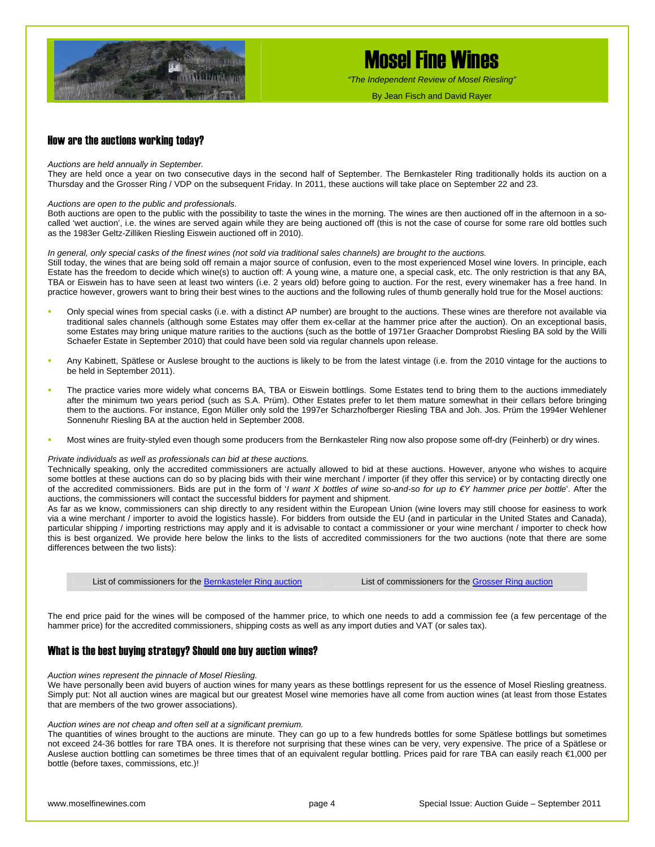

*"The Independent Review of Mosel Riesling"*

By Jean Fisch and David Rayer

#### How are the auctions working today?

#### *Auctions are held annually in September.*

They are held once a year on two consecutive days in the second half of September. The Bernkasteler Ring traditionally holds its auction on a Thursday and the Grosser Ring / VDP on the subsequent Friday. In 2011, these auctions will take place on September 22 and 23.

#### *Auctions are open to the public and professionals.*

Both auctions are open to the public with the possibility to taste the wines in the morning. The wines are then auctioned off in the afternoon in a socalled 'wet auction', i.e. the wines are served again while they are being auctioned off (this is not the case of course for some rare old bottles such as the 1983er Geltz-Zilliken Riesling Eiswein auctioned off in 2010).

#### *In general, only special casks of the finest wines (not sold via traditional sales channels) are brought to the auctions.*

Still today, the wines that are being sold off remain a major source of confusion, even to the most experienced Mosel wine lovers. In principle, each Estate has the freedom to decide which wine(s) to auction off: A young wine, a mature one, a special cask, etc. The only restriction is that any BA, TBA or Eiswein has to have seen at least two winters (i.e. 2 years old) before going to auction. For the rest, every winemaker has a free hand. In practice however, growers want to bring their best wines to the auctions and the following rules of thumb generally hold true for the Mosel auctions:

- Only special wines from special casks (i.e. with a distinct AP number) are brought to the auctions. These wines are therefore not available via traditional sales channels (although some Estates may offer them ex-cellar at the hammer price after the auction). On an exceptional basis, some Estates may bring unique mature rarities to the auctions (such as the bottle of 1971er Graacher Domprobst Riesling BA sold by the Willi Schaefer Estate in September 2010) that could have been sold via regular channels upon release.
- Any Kabinett, Spätlese or Auslese brought to the auctions is likely to be from the latest vintage (i.e. from the 2010 vintage for the auctions to be held in September 2011).
- The practice varies more widely what concerns BA, TBA or Eiswein bottlings. Some Estates tend to bring them to the auctions immediately after the minimum two years period (such as S.A. Prüm). Other Estates prefer to let them mature somewhat in their cellars before bringing them to the auctions. For instance, Egon Müller only sold the 1997er Scharzhofberger Riesling TBA and Joh. Jos. Prüm the 1994er Wehlener Sonnenuhr Riesling BA at the auction held in September 2008.
- Most wines are fruity-styled even though some producers from the Bernkasteler Ring now also propose some off-dry (Feinherb) or dry wines.

#### *Private individuals as well as professionals can bid at these auctions.*

Technically speaking, only the accredited commissioners are actually allowed to bid at these auctions. However, anyone who wishes to acquire some bottles at these auctions can do so by placing bids with their wine merchant / importer (if they offer this service) or by contacting directly one of the accredited commissioners. Bids are put in the form of '*I want X bottles of wine so-and-so for up to €Y hammer price per bottle*'. After the auctions, the commissioners will contact the successful bidders for payment and shipment.

As far as we know, commissioners can ship directly to any resident within the European Union (wine lovers may still choose for easiness to work via a wine merchant / importer to avoid the logistics hassle). For bidders from outside the EU (and in particular in the United States and Canada), particular shipping / importing restrictions may apply and it is advisable to contact a commissioner or your wine merchant / importer to check how this is best organized. We provide here below the links to the lists of accredited commissioners for the two auctions (note that there are some differences between the two lists):

List of commissioners for the [Bernkasteler Ring auction](http://www.bernkasteler-ring.de/images/die_kommissionaere.pdf)<br>
List of commissioners for the [Grosser Ring auction](http://www.vdp.de/de/vdp-weinversteigerungen/kommissionaere)

The end price paid for the wines will be composed of the hammer price, to which one needs to add a commission fee (a few percentage of the hammer price) for the accredited commissioners, shipping costs as well as any import duties and VAT (or sales tax).

#### What is the best buying strategy? Should one buy auction wines?

#### *Auction wines represent the pinnacle of Mosel Riesling.*

We have personally been avid buyers of auction wines for many years as these bottlings represent for us the essence of Mosel Riesling greatness. Simply put: Not all auction wines are magical but our greatest Mosel wine memories have all come from auction wines (at least from those Estates that are members of the two grower associations).

#### *Auction wines are not cheap and often sell at a significant premium.*

The quantities of wines brought to the auctions are minute. They can go up to a few hundreds bottles for some Spätlese bottlings but sometimes not exceed 24-36 bottles for rare TBA ones. It is therefore not surprising that these wines can be very, very expensive. The price of a Spätlese or Auslese auction bottling can sometimes be three times that of an equivalent regular bottling. Prices paid for rare TBA can easily reach €1,000 per bottle (before taxes, commissions, etc.)!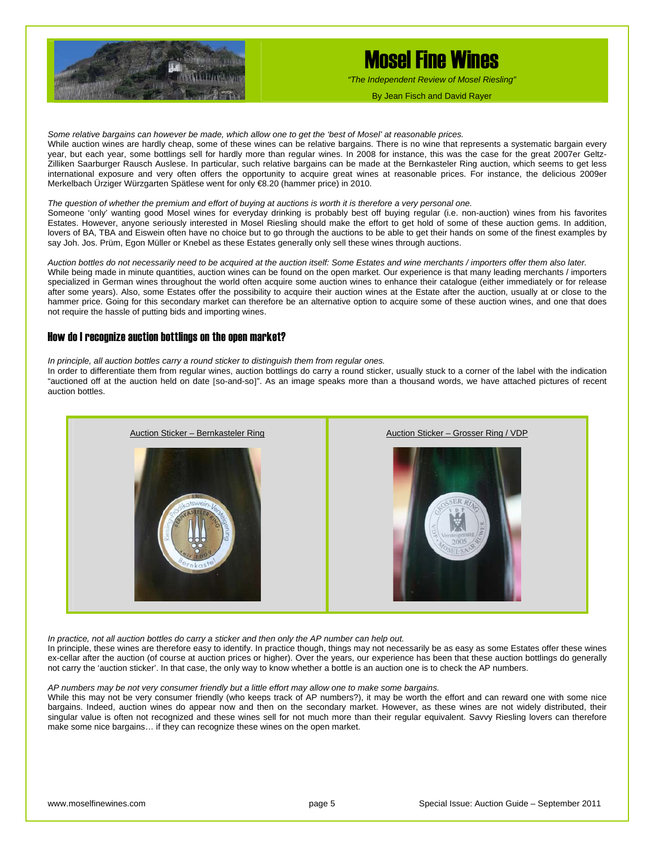

*"The Independent Review of Mosel Riesling"*

*Some relative bargains can however be made, which allow one to get the 'best of Mosel' at reasonable prices.* 

While auction wines are hardly cheap, some of these wines can be relative bargains. There is no wine that represents a systematic bargain every year, but each year, some bottlings sell for hardly more than regular wines. In 2008 for instance, this was the case for the great 2007er Geltz-Zilliken Saarburger Rausch Auslese. In particular, such relative bargains can be made at the Bernkasteler Ring auction, which seems to get less international exposure and very often offers the opportunity to acquire great wines at reasonable prices. For instance, the delicious 2009er Merkelbach Ürziger Würzgarten Spätlese went for only €8.20 (hammer price) in 2010.

#### *The question of whether the premium and effort of buying at auctions is worth it is therefore a very personal one.*

Someone 'only' wanting good Mosel wines for everyday drinking is probably best off buying regular (i.e. non-auction) wines from his favorites Estates. However, anyone seriously interested in Mosel Riesling should make the effort to get hold of some of these auction gems. In addition, lovers of BA, TBA and Eiswein often have no choice but to go through the auctions to be able to get their hands on some of the finest examples by say Joh. Jos. Prüm, Egon Müller or Knebel as these Estates generally only sell these wines through auctions.

*Auction bottles do not necessarily need to be acquired at the auction itself: Some Estates and wine merchants / importers offer them also later.*  While being made in minute quantities, auction wines can be found on the open market. Our experience is that many leading merchants / importers specialized in German wines throughout the world often acquire some auction wines to enhance their catalogue (either immediately or for release after some years). Also, some Estates offer the possibility to acquire their auction wines at the Estate after the auction, usually at or close to the hammer price. Going for this secondary market can therefore be an alternative option to acquire some of these auction wines, and one that does not require the hassle of putting bids and importing wines.

#### How do I recognize auction bottlings on the open market?

*In principle, all auction bottles carry a round sticker to distinguish them from regular ones.* 

In order to differentiate them from regular wines, auction bottlings do carry a round sticker, usually stuck to a corner of the label with the indication "auctioned off at the auction held on date [so-and-so]". As an image speaks more than a thousand words, we have attached pictures of recent auction bottles.



*In practice, not all auction bottles do carry a sticker and then only the AP number can help out.* 

In principle, these wines are therefore easy to identify. In practice though, things may not necessarily be as easy as some Estates offer these wines ex-cellar after the auction (of course at auction prices or higher). Over the years, our experience has been that these auction bottlings do generally not carry the 'auction sticker'. In that case, the only way to know whether a bottle is an auction one is to check the AP numbers.

#### *AP numbers may be not very consumer friendly but a little effort may allow one to make some bargains.*

While this may not be very consumer friendly (who keeps track of AP numbers?), it may be worth the effort and can reward one with some nice bargains. Indeed, auction wines do appear now and then on the secondary market. However, as these wines are not widely distributed, their singular value is often not recognized and these wines sell for not much more than their regular equivalent. Savvy Riesling lovers can therefore make some nice bargains… if they can recognize these wines on the open market.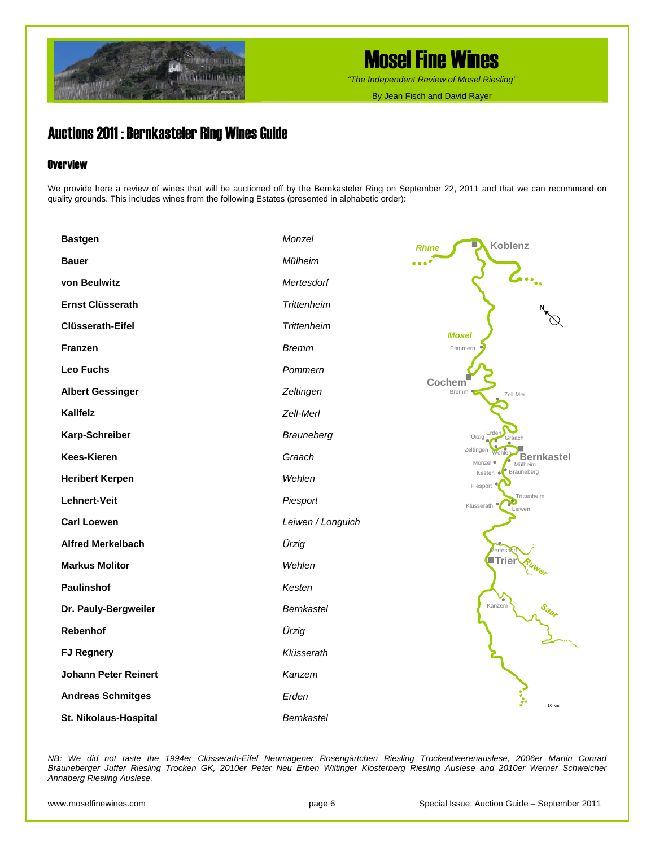

*"The Independent Review of Mosel Riesling"*

By Jean Fisch and David Rayer

### Auctions 2011 : Bernkasteler Ring Wines Guide

### **Overview**

We provide here a review of wines that will be auctioned off by the Bernkasteler Ring on September 22, 2011 and that we can recommend on quality grounds. This includes wines from the following Estates (presented in alphabetic order):

| <b>Bastgen</b>              | Monzel             | <b>Koblenz</b><br><b>Rhine</b>                        |
|-----------------------------|--------------------|-------------------------------------------------------|
| <b>Bauer</b>                | Mülheim            |                                                       |
| von Beulwitz                | Mertesdorf         | $\mathcal{L}_{\mathbb{Z}_n}$                          |
| <b>Ernst Clüsserath</b>     | Trittenheim        |                                                       |
| <b>Clüsserath-Eifel</b>     | <b>Trittenheim</b> | <b>Mosel</b>                                          |
| Franzen                     | <b>Bremm</b>       | Pommern                                               |
| <b>Leo Fuchs</b>            | Pommern            |                                                       |
| <b>Albert Gessinger</b>     | Zeltingen          | Cochem<br>Bremm<br>Zell-Merl                          |
| Kallfelz                    | Zell-Merl          |                                                       |
| Karp-Schreiber              | Brauneberg         | Erden<br>Ürzig<br>Graach                              |
| <b>Kees-Kieren</b>          | Graach             | Zeltingen<br><b>Bernkastel</b><br>Monzel ·<br>Mülheim |
| <b>Heribert Kerpen</b>      | Wehlen             | Brauneberg<br>Kesten<br>¢<br>Piesport                 |
| Lehnert-Veit                | Piesport           | Trittenheim<br>Klüsserath<br>Leiwen                   |
| <b>Carl Loewen</b>          | Leiwen / Longuich  |                                                       |
| <b>Alfred Merkelbach</b>    | Ürzig              | lerteso                                               |
| <b>Markus Molitor</b>       | Wehlen             | lTrier                                                |
| Paulinshof                  | Kesten             |                                                       |
| Dr. Pauly-Bergweiler        | <b>Bernkastel</b>  | Kanzem                                                |
| Rebenhof                    | Ürzig              |                                                       |
| <b>FJ Regnery</b>           | Klüsserath         |                                                       |
| <b>Johann Peter Reinert</b> | Kanzem             |                                                       |
| <b>Andreas Schmitges</b>    | Erden              | 10 km                                                 |
| St. Nikolaus-Hospital       | <b>Bernkastel</b>  |                                                       |

*NB: We did not taste the 1994er Clüsserath-Eifel Neumagener Rosengärtchen Riesling Trockenbeerenauslese, 2006er Martin Conrad Brauneberger Juffer Riesling Trocken GK, 2010er Peter Neu Erben Wiltinger Klosterberg Riesling Auslese and 2010er Werner Schweicher Annaberg Riesling Auslese.*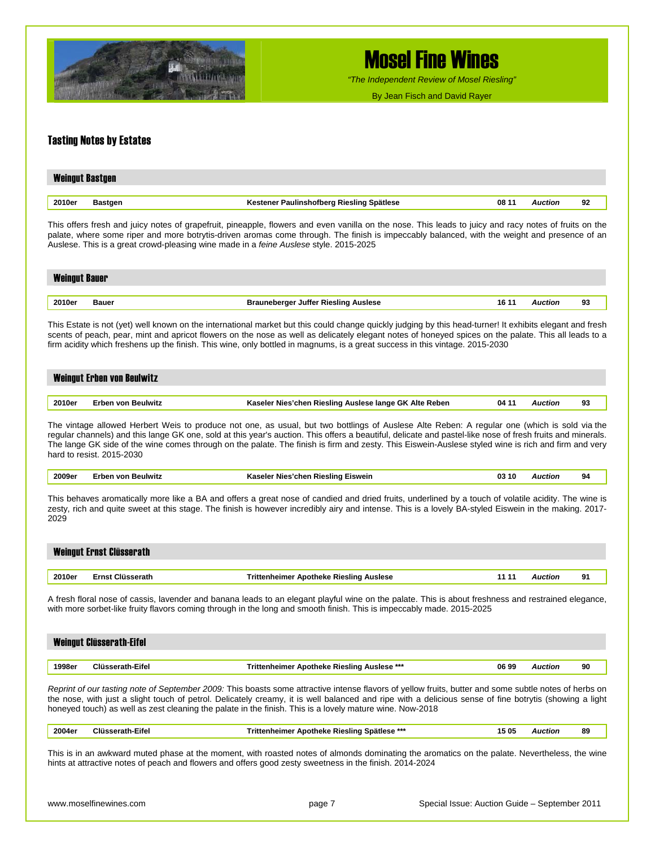

*"The Independent Review of Mosel Riesling"*

By Jean Fisch and David Rayer

#### Tasting Notes by Estates

| <b>Weingut Bastgen</b>   |                                           |       |                |    |  |  |  |
|--------------------------|-------------------------------------------|-------|----------------|----|--|--|--|
| 2010er<br><b>Bastgen</b> | Kestener Paulinshofberg Riesling Spätlese | 08 11 | <b>Auction</b> | 92 |  |  |  |

This offers fresh and juicy notes of grapefruit, pineapple, flowers and even vanilla on the nose. This leads to juicy and racy notes of fruits on the palate, where some riper and more botrytis-driven aromas come through. The finish is impeccably balanced, with the weight and presence of an Auslese. This is a great crowd-pleasing wine made in a *feine Auslese* style. 2015-2025

| <b>Weingut Bauer</b><br>- II Ving--- |       |                                      |       |           |    |
|--------------------------------------|-------|--------------------------------------|-------|-----------|----|
|                                      |       |                                      |       |           |    |
| 2010er                               | Bauer | Brauneberger Juffer Riesling Auslese | 16 11 | `uction ' | 93 |

This Estate is not (yet) well known on the international market but this could change quickly judging by this head-turner! It exhibits elegant and fresh scents of peach, pear, mint and apricot flowers on the nose as well as delicately elegant notes of honeyed spices on the palate. This all leads to a firm acidity which freshens up the finish. This wine, only bottled in magnums, is a great success in this vintage. 2015-2030

## Weingut Erben von Beulwitz

| 2010e | eulwitz | $\sim$<br>Alte<br>Rieslina<br>Reben<br>Auslese<br>: lange<br>ומחי<br>GK<br> | 04 | ົ<br>- |
|-------|---------|-----------------------------------------------------------------------------|----|--------|
|       |         |                                                                             |    |        |

The vintage allowed Herbert Weis to produce not one, as usual, but two bottlings of Auslese Alte Reben: A regular one (which is sold via the regular channels) and this lange GK one, sold at this year's auction. This offers a beautiful, delicate and pastel-like nose of fresh fruits and minerals. The lange GK side of the wine comes through on the palate. The finish is firm and zesty. This Eiswein-Auslese styled wine is rich and firm and very hard to resist. 2015-2030

|  | 2009e. | ulwit | Eiswein<br>NIC<br>.<br>∙nar | าแ<br>u. |  | 94 |  |
|--|--------|-------|-----------------------------|----------|--|----|--|
|--|--------|-------|-----------------------------|----------|--|----|--|

This behaves aromatically more like a BA and offers a great nose of candied and dried fruits, underlined by a touch of volatile acidity. The wine is zesty, rich and quite sweet at this stage. The finish is however incredibly airy and intense. This is a lovely BA-styled Eiswein in the making. 2017- 2029

|        | <b>Weingut Ernst Clüsserath</b> |                                         |                |    |
|--------|---------------------------------|-----------------------------------------|----------------|----|
|        |                                 |                                         |                |    |
| 2010er | Ernst Clüsserath                | Trittenheimer Apotheke Riesling Auslese | <b>Muction</b> | 91 |

A fresh floral nose of cassis, lavender and banana leads to an elegant playful wine on the palate. This is about freshness and restrained elegance, with more sorbet-like fruity flavors coming through in the long and smooth finish. This is impeccably made. 2015-2025

|        | <b>Weingut Clüsserath-Eifel</b> |                               |       |         |    |
|--------|---------------------------------|-------------------------------|-------|---------|----|
|        |                                 |                               |       |         |    |
| 1998eı | <b>Cliffee</b><br>serath-Eifel  | Apotheke Riesling Auslese *** | 06.99 | ™ction. | 90 |

*Reprint of our tasting note of September 2009:* This boasts some attractive intense flavors of yellow fruits, butter and some subtle notes of herbs on the nose, with just a slight touch of petrol. Delicately creamy, it is well balanced and ripe with a delicious sense of fine botrytis (showing a light honeyed touch) as well as zest cleaning the palate in the finish. This is a lovely mature wine. Now-2018

| 2004er | ---<br>$- \cdot$<br>Eife<br>⊤⊔usseratn- | ***<br>Spätlese<br>. Rieslinc<br><b>Trittenheimer</b><br>' Apotheke | 1505 | Auction<br>. | 89 |
|--------|-----------------------------------------|---------------------------------------------------------------------|------|--------------|----|
|        |                                         |                                                                     |      |              |    |

This is in an awkward muted phase at the moment, with roasted notes of almonds dominating the aromatics on the palate. Nevertheless, the wine hints at attractive notes of peach and flowers and offers good zesty sweetness in the finish. 2014-2024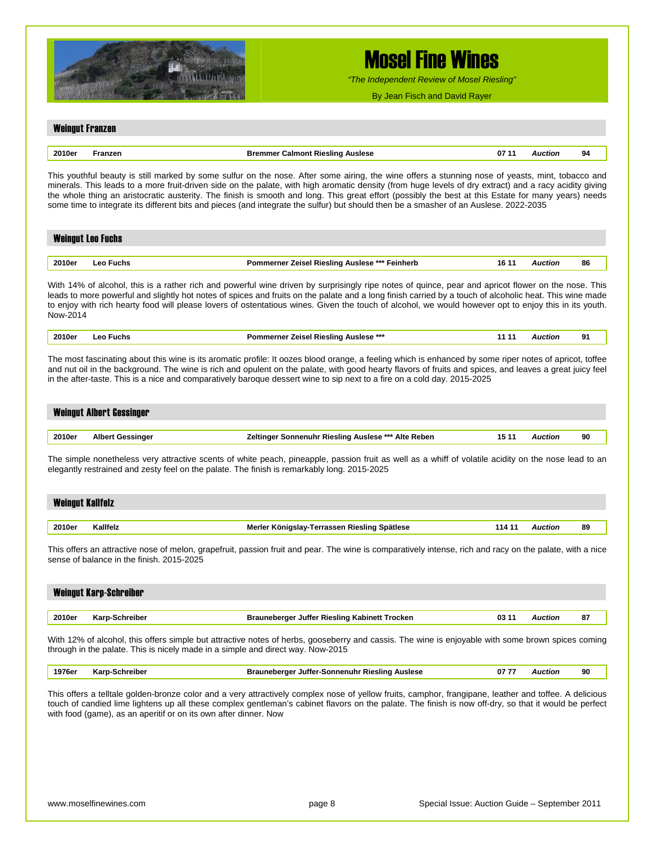

*"The Independent Review of Mosel Riesling"*

By Jean Fisch and David Rayer

#### Weingut Franzen

|  | nn.<br>nue.<br>- 1 |  | Auslese<br>slinc<br>RIE | 07 | rinr<br>. | 94 |
|--|--------------------|--|-------------------------|----|-----------|----|
|--|--------------------|--|-------------------------|----|-----------|----|

This youthful beauty is still marked by some sulfur on the nose. After some airing, the wine offers a stunning nose of yeasts, mint, tobacco and minerals. This leads to a more fruit-driven side on the palate, with high aromatic density (from huge levels of dry extract) and a racy acidity giving the whole thing an aristocratic austerity. The finish is smooth and long. This great effort (possibly the best at this Estate for many years) needs some time to integrate its different bits and pieces (and integrate the sulfur) but should then be a smasher of an Auslese. 2022-2035

| <b>Weingut Leo Fuchs</b> |           |                                                       |       |                |    |  |  |
|--------------------------|-----------|-------------------------------------------------------|-------|----------------|----|--|--|
|                          |           |                                                       |       |                |    |  |  |
| 2010er                   | Leo Fuchs | <b>Pommerner Zeisel Riesling Auslese *** Feinherb</b> | 16 11 | <b>Auction</b> | 86 |  |  |

With 14% of alcohol, this is a rather rich and powerful wine driven by surprisingly ripe notes of quince, pear and apricot flower on the nose. This leads to more powerful and slightly hot notes of spices and fruits on the palate and a long finish carried by a touch of alcoholic heat. This wine made to enjoy with rich hearty food will please lovers of ostentatious wines. Given the touch of alcohol, we would however opt to enjoy this in its youth. Now-2014

| 2010er | ·uchs<br>- El | . AuSleSe ***<br>⊶ח∩י<br>Rieslinc<br>∕eise<br>rne |  | -- |
|--------|---------------|---------------------------------------------------|--|----|
|        |               |                                                   |  |    |

The most fascinating about this wine is its aromatic profile: It oozes blood orange, a feeling which is enhanced by some riper notes of apricot, toffee and nut oil in the background. The wine is rich and opulent on the palate, with good hearty flavors of fruits and spices, and leaves a great juicy feel in the after-taste. This is a nice and comparatively baroque dessert wine to sip next to a fire on a cold day. 2015-2025

|        | <b>Weingut Albert Gessinger</b> |                                                     |         |    |
|--------|---------------------------------|-----------------------------------------------------|---------|----|
|        |                                 |                                                     |         |    |
| 2010er | <b>Albert Gessinger</b>         | Zeltinger Sonnenuhr Riesling Auslese *** Alte Reben | Auction | 90 |

The simple nonetheless very attractive scents of white peach, pineapple, passion fruit as well as a whiff of volatile acidity on the nose lead to an elegantly restrained and zesty feel on the palate. The finish is remarkably long. 2015-2025

| <b>Weingut Kallfelz</b> |          |                                                        |        |    |
|-------------------------|----------|--------------------------------------------------------|--------|----|
|                         |          |                                                        |        |    |
| 2010er                  | Kallfelz | Merler Königslay-Terrassen Riesling Spätlese<br>114 11 | uction | 89 |

This offers an attractive nose of melon, grapefruit, passion fruit and pear. The wine is comparatively intense, rich and racy on the palate, with a nice sense of balance in the finish. 2015-2025

| <b>Weingut Karp-Schreiber</b> |                |                                                               |                |    |  |  |  |
|-------------------------------|----------------|---------------------------------------------------------------|----------------|----|--|--|--|
| 2010er                        | Karp-Schreiber | <b>Brauneberger Juffer Riesling Kabinett Trocken</b><br>03 11 | <b>Auction</b> | 87 |  |  |  |
|                               |                |                                                               |                |    |  |  |  |

With 12% of alcohol, this offers simple but attractive notes of herbs, gooseberry and cassis. The wine is enjoyable with some brown spices coming through in the palate. This is nicely made in a simple and direct way. Now-2015

|  | 1976er Karp-Schreiber | Brauneberger Juffer-Sonnenuhr Riesling Auslese | 0777 | Auction | 90 |
|--|-----------------------|------------------------------------------------|------|---------|----|
|--|-----------------------|------------------------------------------------|------|---------|----|

This offers a telltale golden-bronze color and a very attractively complex nose of yellow fruits, camphor, frangipane, leather and toffee. A delicious touch of candied lime lightens up all these complex gentleman's cabinet flavors on the palate. The finish is now off-dry, so that it would be perfect with food (game), as an aperitif or on its own after dinner. Now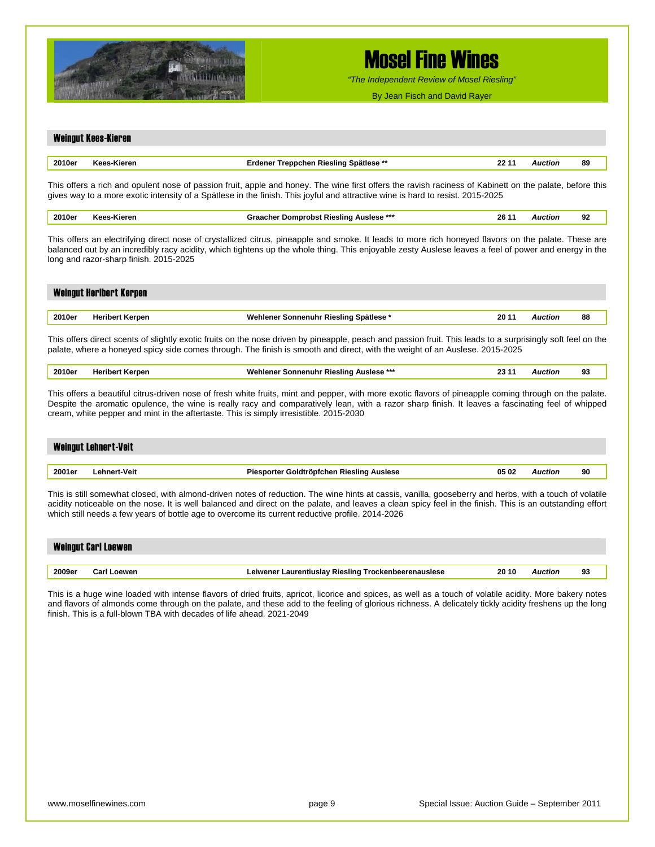

*"The Independent Review of Mosel Riesling"*

By Jean Fisch and David Rayer

## Weingut Kees-Kieren **2010er Kees-Kieren Erdener Treppchen Riesling Spätlese \*\* 22 11** *Auction* **89**  This offers a rich and opulent nose of passion fruit, apple and honey. The wine first offers the ravish raciness of Kabinett on the palate, before this gives way to a more exotic intensity of a Spätlese in the finish. This joyful and attractive wine is hard to resist. 2015-2025 **2010er Kees-Kieren Graacher Domprobst Riesling Auslese \*\*\* 26 11** *Auction* **92**  This offers an electrifying direct nose of crystallized citrus, pineapple and smoke. It leads to more rich honeyed flavors on the palate. These are balanced out by an incredibly racy acidity, which tightens up the whole thing. This enjoyable zesty Auslese leaves a feel of power and energy in the long and razor-sharp finish. 2015-2025 Weingut Heribert Kerpen **2010er Heribert Kerpen Wehlener Sonnenuhr Riesling Spätlese \* 20 11** *Auction* **88**  This offers direct scents of slightly exotic fruits on the nose driven by pineapple, peach and passion fruit. This leads to a surprisingly soft feel on the palate, where a honeyed spicy side comes through. The finish is smooth and direct, with the weight of an Auslese. 2015-2025 **2010er Heribert Kerpen Wehlener Sonnenuhr Riesling Auslese \*\*\* 23 11** *Auction* **93**  This offers a beautiful citrus-driven nose of fresh white fruits, mint and pepper, with more exotic flavors of pineapple coming through on the palate. Despite the aromatic opulence, the wine is really racy and comparatively lean, with a razor sharp finish. It leaves a fascinating feel of whipped cream, white pepper and mint in the aftertaste. This is simply irresistible. 2015-2030 Weingut Lehnert-Veit **2001er Lehnert-Veit Piesporter Goldtröpfchen Riesling Auslese 05 02** *Auction* **90**  This is still somewhat closed, with almond-driven notes of reduction. The wine hints at cassis, vanilla, gooseberry and herbs, with a touch of volatile acidity noticeable on the nose. It is well balanced and direct on the palate, and leaves a clean spicy feel in the finish. This is an outstanding effort which still needs a few years of bottle age to overcome its current reductive profile. 2014-2026 Weingut Carl Loewen **2009er Carl Loewen Leiwener Laurentiuslay Riesling Trockenbeerenauslese 20 10** *Auction* **93**  This is a huge wine loaded with intense flavors of dried fruits, apricot, licorice and spices, as well as a touch of volatile acidity. More bakery notes and flavors of almonds come through on the palate, and these add to the feeling of glorious richness. A delicately tickly acidity freshens up the long finish. This is a full-blown TBA with decades of life ahead. 2021-2049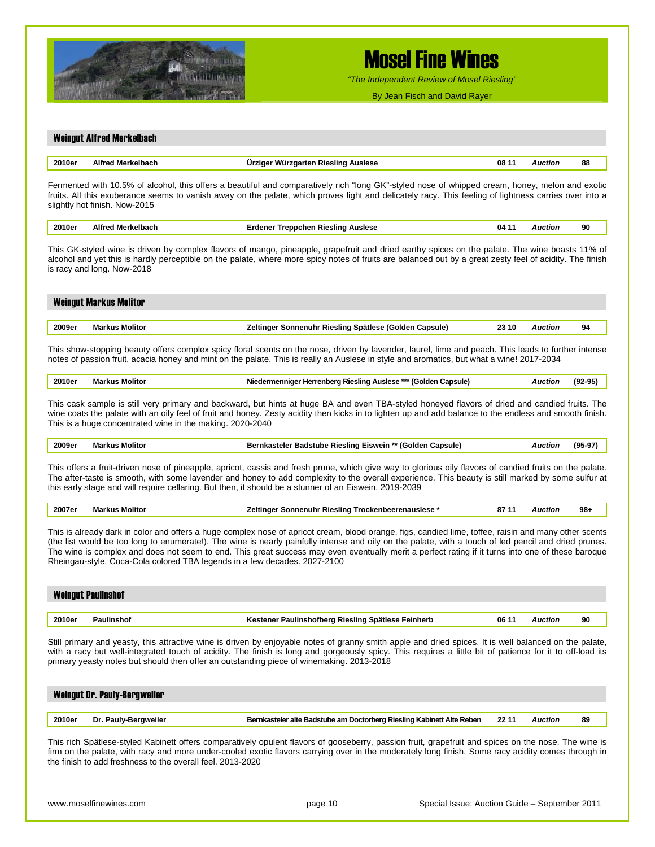

*"The Independent Review of Mosel Riesling"*

By Jean Fisch and David Rayer

#### Weingut Alfred Merkelbach

| 2010er | ALC.<br>AIT | Auslese<br>Vurzu<br>-slinc<br>оапел | 08 | Auctiol | 88 |
|--------|-------------|-------------------------------------|----|---------|----|
|        |             |                                     |    |         |    |

Fermented with 10.5% of alcohol, this offers a beautiful and comparatively rich "long GK"-styled nose of whipped cream, honey, melon and exotic fruits. All this exuberance seems to vanish away on the palate, which proves light and delicately racy. This feeling of lightness carries over into a slightly hot finish. Now-2015

| 2010ei<br>. | <br>. | 04 | ווטו<br>. | 90<br>$ -$ |
|-------------|-------|----|-----------|------------|
|             |       |    |           |            |

This GK-styled wine is driven by complex flavors of mango, pineapple, grapefruit and dried earthy spices on the palate. The wine boasts 11% of alcohol and yet this is hardly perceptible on the palate, where more spicy notes of fruits are balanced out by a great zesty feel of acidity. The finish is racy and long. Now-2018

| <b>Weingut Markus Molitor</b> |                       |                                                        |       |         |    |  |  |
|-------------------------------|-----------------------|--------------------------------------------------------|-------|---------|----|--|--|
|                               |                       |                                                        |       |         |    |  |  |
| 2009er                        | <b>Markus Molitor</b> | Zeltinger Sonnenuhr Riesling Spätlese (Golden Capsule) | 23 10 | Auction | 94 |  |  |
|                               |                       |                                                        |       |         |    |  |  |

This show-stopping beauty offers complex spicy floral scents on the nose, driven by lavender, laurel, lime and peach. This leads to further intense notes of passion fruit, acacia honey and mint on the palate. This is really an Auslese in style and aromatics, but what a wine! 2017-2034

#### **2010er Markus Molitor Niedermenniger Herrenberg Riesling Auslese \*\*\* (Golden Capsule)** *Auction* **(92-95)**

This cask sample is still very primary and backward, but hints at huge BA and even TBA-styled honeyed flavors of dried and candied fruits. The wine coats the palate with an oily feel of fruit and honey. Zesty acidity then kicks in to lighten up and add balance to the endless and smooth finish. This is a huge concentrated wine in the making. 2020-2040

| 2009er<br>$- - - - -$ | Molito | Capsule'<br>(Golden<br>u Eiswein '<br>: Rieslina<br>Badstube<br>. ALAR<br>.<br>. | cuon<br>. | ៸៰៸<br>. |
|-----------------------|--------|----------------------------------------------------------------------------------|-----------|----------|
|                       |        |                                                                                  |           |          |

This offers a fruit-driven nose of pineapple, apricot, cassis and fresh prune, which give way to glorious oily flavors of candied fruits on the palate. The after-taste is smooth, with some lavender and honey to add complexity to the overall experience. This beauty is still marked by some sulfur at this early stage and will require cellaring. But then, it should be a stunner of an Eiswein. 2019-2039

| 2007er | …ulitor | slina<br>I rockenbeerenauslese<br>Sonnenuh<br>KIP <sup>r</sup> | 0 | 98 |
|--------|---------|----------------------------------------------------------------|---|----|
|        |         |                                                                |   |    |

This is already dark in color and offers a huge complex nose of apricot cream, blood orange, figs, candied lime, toffee, raisin and many other scents (the list would be too long to enumerate!). The wine is nearly painfully intense and oily on the palate, with a touch of led pencil and dried prunes. The wine is complex and does not seem to end. This great success may even eventually merit a perfect rating if it turns into one of these baroque Rheingau-style, Coca-Cola colored TBA legends in a few decades. 2027-2100

| <b>Weingut Paulinshof</b> |            |                                                    |       |         |    |  |
|---------------------------|------------|----------------------------------------------------|-------|---------|----|--|
| 2010er                    | Paulinshof | Kestener Paulinshofberg Riesling Spätlese Feinherb | 06 11 | Auction | 90 |  |

Still primary and yeasty, this attractive wine is driven by enjoyable notes of granny smith apple and dried spices. It is well balanced on the palate, with a racy but well-integrated touch of acidity. The finish is long and gorgeously spicy. This requires a little bit of patience for it to off-load its primary yeasty notes but should then offer an outstanding piece of winemaking. 2013-2018

| <b>Weingut Dr. Pauly-Bergweiler</b> |                      |                                                                       |       |         |    |  |  |  |
|-------------------------------------|----------------------|-----------------------------------------------------------------------|-------|---------|----|--|--|--|
|                                     |                      |                                                                       |       |         |    |  |  |  |
| 2010er                              | Dr. Pauly-Bergweiler | Bernkasteler alte Badstube am Doctorberg Riesling Kabinett Alte Reben | 22 11 | Auction | 89 |  |  |  |

This rich Spätlese-styled Kabinett offers comparatively opulent flavors of gooseberry, passion fruit, grapefruit and spices on the nose. The wine is firm on the palate, with racy and more under-cooled exotic flavors carrying over in the moderately long finish. Some racy acidity comes through in the finish to add freshness to the overall feel. 2013-2020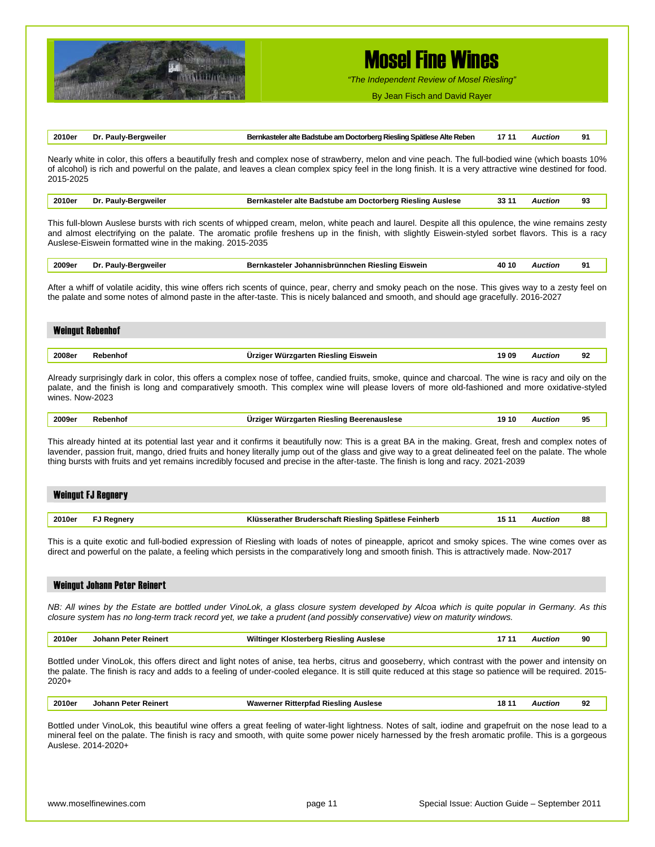

*"The Independent Review of Mosel Riesling"*

By Jean Fisch and David Rayer

| 2010er Dr. Pauly-Bergweiler<br>Bernkasteler alte Badstube am Doctorberg Riesling Spätlese Alte Reben 17 11 Auction |  | 91 |
|--------------------------------------------------------------------------------------------------------------------|--|----|
|--------------------------------------------------------------------------------------------------------------------|--|----|

Nearly white in color, this offers a beautifully fresh and complex nose of strawberry, melon and vine peach. The full-bodied wine (which boasts 10% of alcohol) is rich and powerful on the palate, and leaves a clean complex spicy feel in the long finish. It is a very attractive wine destined for food. 2015-2025

|  | 2010er Dr. Pauly-Bergweiler | Bernkasteler alte Badstube am Doctorberg Riesling Auslese | 33 11 | Auction |  |
|--|-----------------------------|-----------------------------------------------------------|-------|---------|--|
|--|-----------------------------|-----------------------------------------------------------|-------|---------|--|

This full-blown Auslese bursts with rich scents of whipped cream, melon, white peach and laurel. Despite all this opulence, the wine remains zesty and almost electrifying on the palate. The aromatic profile freshens up in the finish, with slightly Eiswein-styled sorbet flavors. This is a racy Auslese-Eiswein formatted wine in the making. 2015-2035

|  | 2009er | Dr<br>Paulv-.<br>aweiler | Eiswein<br>Johannisbrünnchen Riesling ⊓<br>stele. | 40 10 | Auction | ۰O<br>-- |  |
|--|--------|--------------------------|---------------------------------------------------|-------|---------|----------|--|
|--|--------|--------------------------|---------------------------------------------------|-------|---------|----------|--|

After a whiff of volatile acidity, this wine offers rich scents of quince, pear, cherry and smoky peach on the nose. This gives way to a zesty feel on the palate and some notes of almond paste in the after-taste. This is nicely balanced and smooth, and should age gracefully. 2016-2027

| <b>Weingut Rebenhof</b> |          |                                              |                |    |
|-------------------------|----------|----------------------------------------------|----------------|----|
| 2008er                  | Rebenhof | Ürziger Würzgarten Riesling Eiswein<br>19 09 | <b>Auction</b> | 92 |
|                         |          |                                              |                |    |

Already surprisingly dark in color, this offers a complex nose of toffee, candied fruits, smoke, quince and charcoal. The wine is racy and oily on the palate, and the finish is long and comparatively smooth. This complex wine will please lovers of more old-fashioned and more oxidative-styled wines. Now-2023

|  | 2009e. |  | .<br>лин<br>- GUSICSL | 10<br>.<br>. |  | œ<br>- |
|--|--------|--|-----------------------|--------------|--|--------|
|--|--------|--|-----------------------|--------------|--|--------|

This already hinted at its potential last year and it confirms it beautifully now: This is a great BA in the making. Great, fresh and complex notes of lavender, passion fruit, mango, dried fruits and honey literally jump out of the glass and give way to a great delineated feel on the palate. The whole thing bursts with fruits and yet remains incredibly focused and precise in the after-taste. The finish is long and racy. 2021-2039

| <b>Weingut FJ Regnery</b> |                   |                                                      |       |                |    |
|---------------------------|-------------------|------------------------------------------------------|-------|----------------|----|
|                           |                   |                                                      |       |                |    |
| 2010er                    | <b>FJ Regnery</b> | Klüsserather Bruderschaft Riesling Spätlese Feinherb | 15 11 | <b>Auction</b> | 88 |

This is a quite exotic and full-bodied expression of Riesling with loads of notes of pineapple, apricot and smoky spices. The wine comes over as direct and powerful on the palate, a feeling which persists in the comparatively long and smooth finish. This is attractively made. Now-2017

*NB: All wines by the Estate are bottled under VinoLok, a glass closure system developed by Alcoa which is quite popular in Germany. As this closure system has no long-term track record yet, we take a prudent (and possibly conservative) view on maturity windows.* 

| 2010er | Johann Peter Reinert | Wiltinger Klosterberg Riesling Auslese | 17 11 | Auction | 90 |
|--------|----------------------|----------------------------------------|-------|---------|----|
|        |                      |                                        |       |         |    |

Bottled under VinoLok, this offers direct and light notes of anise, tea herbs, citrus and gooseberry, which contrast with the power and intensity on the palate. The finish is racy and adds to a feeling of under-cooled elegance. It is still quite reduced at this stage so patience will be required. 2015- 2020+

| 2010er | Reinert<br>''eter . | Wawerner<br>Auslese<br>.slino<br>Ritterr<br>- ימולי<br>$\cdots$<br>viau<br>17. IL |  | uctior | ົ<br>- 74 |  |
|--------|---------------------|-----------------------------------------------------------------------------------|--|--------|-----------|--|
|--------|---------------------|-----------------------------------------------------------------------------------|--|--------|-----------|--|

Bottled under VinoLok, this beautiful wine offers a great feeling of water-light lightness. Notes of salt, iodine and grapefruit on the nose lead to a mineral feel on the palate. The finish is racy and smooth, with quite some power nicely harnessed by the fresh aromatic profile. This is a gorgeous Auslese. 2014-2020+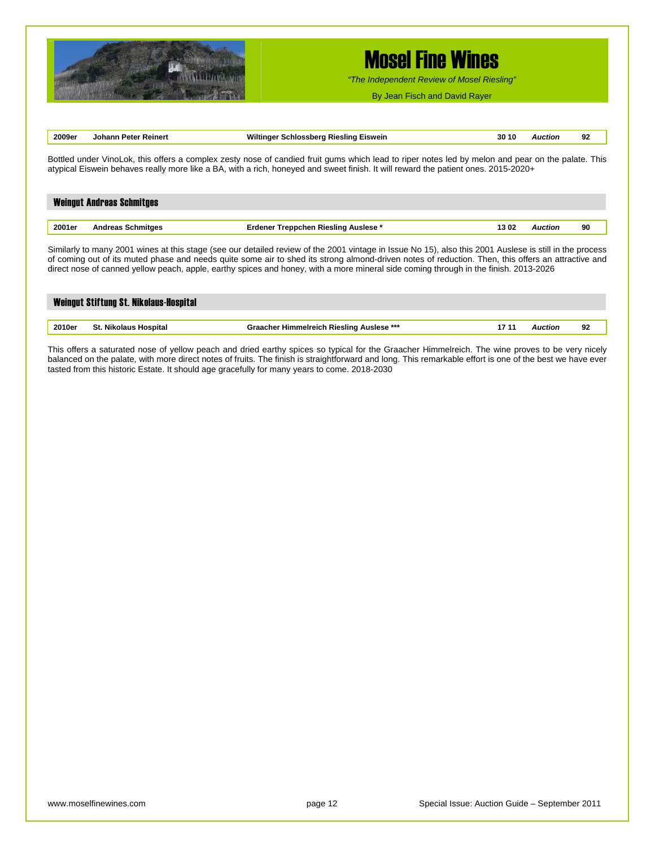

*"The Independent Review of Mosel Riesling"*

By Jean Fisch and David Rayer

| 2009er                                                                                                                                                                                                                                                                                  | Johann Peter Reinert             | Wiltinger Schlossberg Riesling Eiswein | 30 10 | <b>Auction</b> | 92 |  |
|-----------------------------------------------------------------------------------------------------------------------------------------------------------------------------------------------------------------------------------------------------------------------------------------|----------------------------------|----------------------------------------|-------|----------------|----|--|
| Bottled under VinoLok, this offers a complex zesty nose of candied fruit gums which lead to riper notes led by melon and pear on the palate. This<br>atypical Eiswein behaves really more like a BA, with a rich, honeyed and sweet finish. It will reward the patient ones. 2015-2020+ |                                  |                                        |       |                |    |  |
|                                                                                                                                                                                                                                                                                         |                                  |                                        |       |                |    |  |
|                                                                                                                                                                                                                                                                                         | <b>Weingut Andreas Schmitges</b> |                                        |       |                |    |  |
| 2001er                                                                                                                                                                                                                                                                                  | <b>Andreas Schmitges</b>         | Erdener Treppchen Riesling Auslese*    | 1302  | <b>Auction</b> | 90 |  |
|                                                                                                                                                                                                                                                                                         |                                  |                                        |       |                |    |  |

Similarly to many 2001 wines at this stage (see our detailed review of the 2001 vintage in Issue No 15), also this 2001 Auslese is still in the process of coming out of its muted phase and needs quite some air to shed its strong almond-driven notes of reduction. Then, this offers an attractive and direct nose of canned yellow peach, apple, earthy spices and honey, with a more mineral side coming through in the finish. 2013-2026

| Weingut Stiftung St. Nikolaus-Hospital |                       |                                                  |       |         |    |
|----------------------------------------|-----------------------|--------------------------------------------------|-------|---------|----|
|                                        |                       |                                                  |       |         |    |
| 2010er                                 | St. Nikolaus Hospital | <b>Graacher Himmelreich Riesling Auslese ***</b> | 17 11 | Auction | 92 |

This offers a saturated nose of yellow peach and dried earthy spices so typical for the Graacher Himmelreich. The wine proves to be very nicely balanced on the palate, with more direct notes of fruits. The finish is straightforward and long. This remarkable effort is one of the best we have ever tasted from this historic Estate. It should age gracefully for many years to come. 2018-2030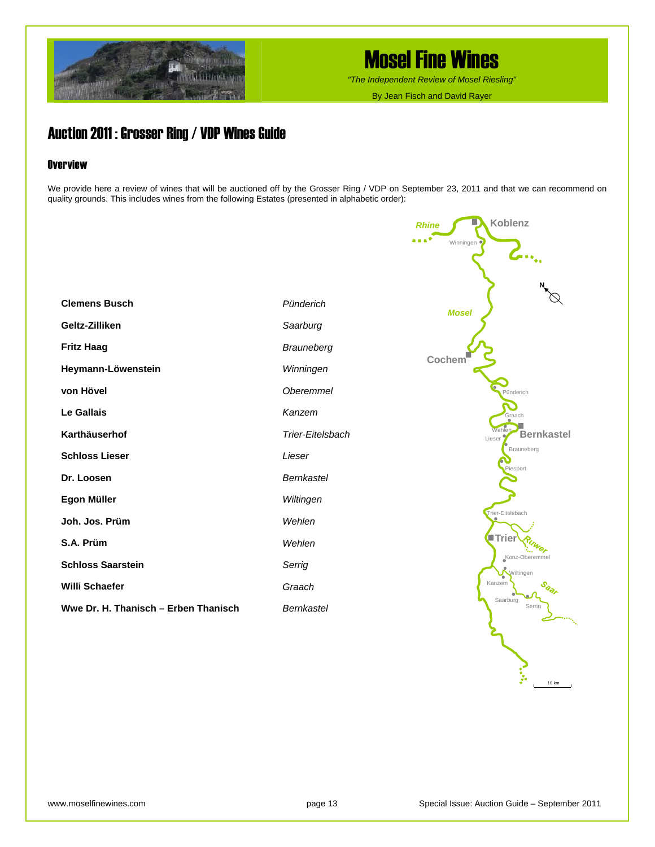

*"The Independent Review of Mosel Riesling"*

By Jean Fisch and David Rayer

*Rhine*

**Koblenz** 

## Auction 2011 : Grosser Ring / VDP Wines Guide

#### **Overview**

We provide here a review of wines that will be auctioned off by the Grosser Ring / VDP on September 23, 2011 and that we can recommend on quality grounds. This includes wines from the following Estates (presented in alphabetic order):

|                                      |                   | . *<br>Winningen                             |
|--------------------------------------|-------------------|----------------------------------------------|
|                                      |                   | $\mathcal{L}_{\mathbf{m}_{\alpha_1}}$        |
|                                      |                   |                                              |
|                                      |                   |                                              |
| <b>Clemens Busch</b>                 | Pünderich         | <b>Mosel</b>                                 |
| Geltz-Zilliken                       | Saarburg          |                                              |
| <b>Fritz Haag</b>                    | Brauneberg        |                                              |
| Heymann-Löwenstein                   | Winningen         | Cochem                                       |
| von Hövel                            | <b>Oberemmel</b>  | Pünderich                                    |
| <b>Le Gallais</b>                    | Kanzem            | Graach                                       |
| Karthäuserhof                        | Trier-Eitelsbach  | <b>Nehler</b><br><b>Bernkastel</b><br>Lieser |
| <b>Schloss Lieser</b>                | Lieser            | Brauneberg                                   |
| Dr. Loosen                           | <b>Bernkastel</b> | Piesport                                     |
| Egon Müller                          | Wiltingen         |                                              |
| Joh. Jos. Prüm                       | Wehlen            | Trier-Eitelsbach                             |
| S.A. Prüm                            | Wehlen            | <b>Triel</b>                                 |
| <b>Schloss Saarstein</b>             | Serrig            | Konz-Oberemmel<br>Wiltingen                  |
| Willi Schaefer                       | Graach            | Kanzem                                       |
| Wwe Dr. H. Thanisch - Erben Thanisch | <b>Bernkastel</b> | Saarburg<br>Serrig                           |

10 km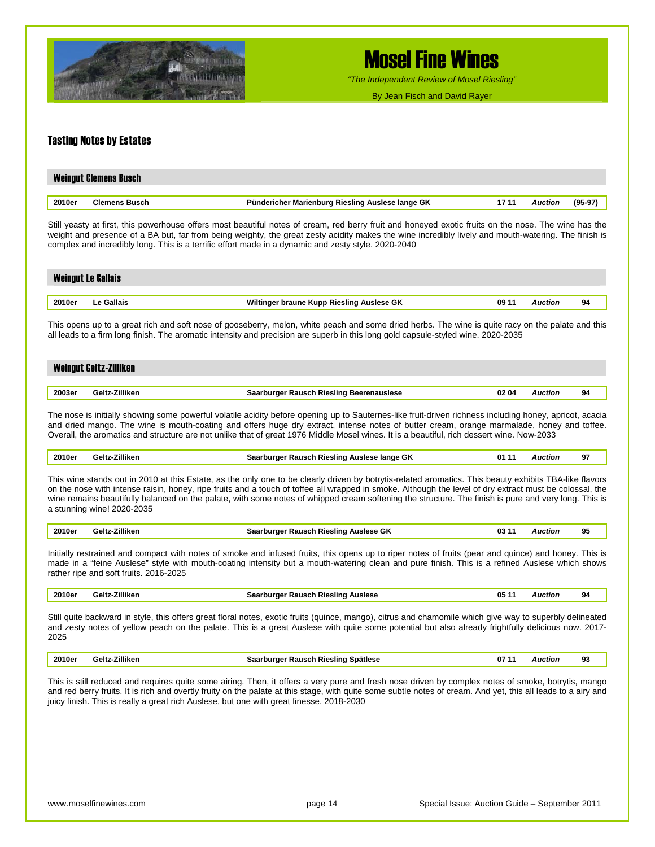

*"The Independent Review of Mosel Riesling"*

By Jean Fisch and David Rayer

#### Tasting Notes by Estates

| <b>Weingut Clemens Busch</b> |                      |                                                  |       |                |        |  |  |  |
|------------------------------|----------------------|--------------------------------------------------|-------|----------------|--------|--|--|--|
|                              |                      |                                                  |       |                |        |  |  |  |
| 2010er                       | <b>Clemens Busch</b> | Pündericher Marienburg Riesling Auslese lange GK | 17 11 | <b>Auction</b> | (95-97 |  |  |  |

Still yeasty at first, this powerhouse offers most beautiful notes of cream, red berry fruit and honeyed exotic fruits on the nose. The wine has the weight and presence of a BA but, far from being weighty, the great zesty acidity makes the wine incredibly lively and mouth-watering. The finish is complex and incredibly long. This is a terrific effort made in a dynamic and zesty style. 2020-2040

| <b>Weingut Le Gallais</b> |            |                                           |       |                |    |  |  |  |
|---------------------------|------------|-------------------------------------------|-------|----------------|----|--|--|--|
|                           |            |                                           |       |                |    |  |  |  |
| 2010er                    | Le Gallais | Wiltinger braune Kupp Riesling Auslese GK | 09 11 | <b>Auction</b> | 94 |  |  |  |

This opens up to a great rich and soft nose of gooseberry, melon, white peach and some dried herbs. The wine is quite racy on the palate and this all leads to a firm long finish. The aromatic intensity and precision are superb in this long gold capsule-styled wine. 2020-2035

## Weingut Geltz-Zilliken **2003er Geltz-Zilliken Saarburger Rausch Riesling Beerenauslese 02 04** *Auction* **94**

The nose is initially showing some powerful volatile acidity before opening up to Sauternes-like fruit-driven richness including honey, apricot, acacia and dried mango. The wine is mouth-coating and offers huge dry extract, intense notes of butter cream, orange marmalade, honey and toffee. Overall, the aromatics and structure are not unlike that of great 1976 Middle Mosel wines. It is a beautiful, rich dessert wine. Now-2033

| 2010er | Geltz-Zilliken | Saarburger Rausch Riesling Auslese lange GK | 01 11 | Auction |  |
|--------|----------------|---------------------------------------------|-------|---------|--|
|--------|----------------|---------------------------------------------|-------|---------|--|

This wine stands out in 2010 at this Estate, as the only one to be clearly driven by botrytis-related aromatics. This beauty exhibits TBA-like flavors on the nose with intense raisin, honey, ripe fruits and a touch of toffee all wrapped in smoke. Although the level of dry extract must be colossal, the wine remains beautifully balanced on the palate, with some notes of whipped cream softening the structure. The finish is pure and very long. This is a stunning wine! 2020-2035

| 2010er | <b>7illiken</b><br>—∼اہ–… | <b>Auslese GK</b><br>03<br><b></b><br>Rausch<br>burger<br>ı Rieslind<br>522 |  | cuon | 95 |  |
|--------|---------------------------|-----------------------------------------------------------------------------|--|------|----|--|
|--------|---------------------------|-----------------------------------------------------------------------------|--|------|----|--|

Initially restrained and compact with notes of smoke and infused fruits, this opens up to riper notes of fruits (pear and quince) and honey. This is made in a "feine Auslese" style with mouth-coating intensity but a mouth-watering clean and pure finish. This is a refined Auslese which shows rather ripe and soft fruits. 2016-2025

|  | $- \cdots$<br>2010er<br>`eltz⊦<br>'illiker | <b>Auclasa</b><br>`ıeslını<br>Rausch<br>nuraer<br>э. | 05<br>. . | uction<br>. | 94 |
|--|--------------------------------------------|------------------------------------------------------|-----------|-------------|----|
|--|--------------------------------------------|------------------------------------------------------|-----------|-------------|----|

Still quite backward in style, this offers great floral notes, exotic fruits (quince, mango), citrus and chamomile which give way to superbly delineated and zesty notes of yellow peach on the palate. This is a great Auslese with quite some potential but also already frightfully delicious now. 2017- 2025

| <b>Zilliken</b><br>2010e<br>Spätlese<br>Rausch Riesling<br>40 IF<br>-07<br>Auction<br>,,,,,,,<br>a e n<br>.<br>_____<br>. | ۰۵<br>--<br>__ |
|---------------------------------------------------------------------------------------------------------------------------|----------------|
|---------------------------------------------------------------------------------------------------------------------------|----------------|

This is still reduced and requires quite some airing. Then, it offers a very pure and fresh nose driven by complex notes of smoke, botrytis, mango and red berry fruits. It is rich and overtly fruity on the palate at this stage, with quite some subtle notes of cream. And yet, this all leads to a airy and juicy finish. This is really a great rich Auslese, but one with great finesse. 2018-2030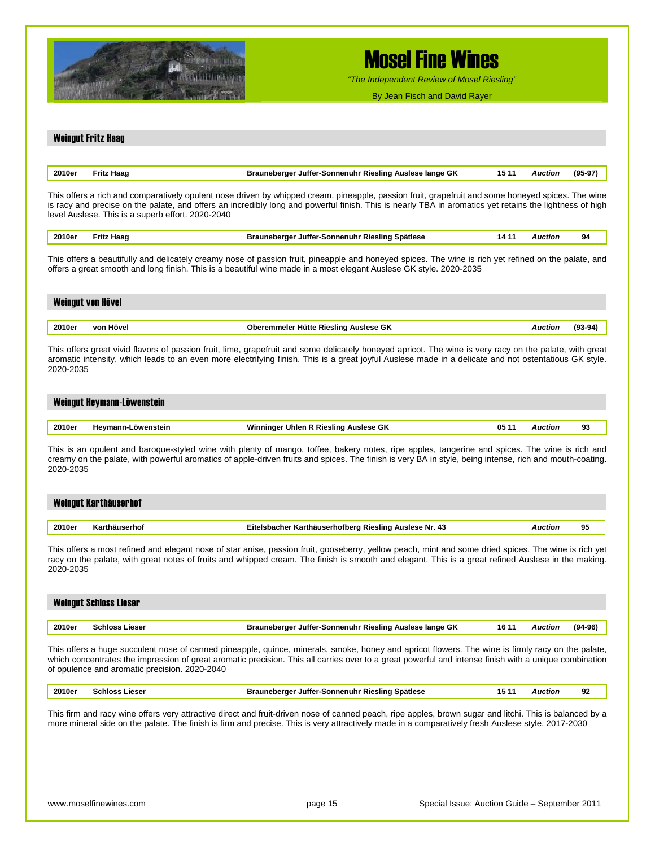

*"The Independent Review of Mosel Riesling"*

By Jean Fisch and David Rayer

#### Weingut Fritz Haag

| 2010er<br>$- - - - - -$ | . .<br><b>RIASIING</b><br>JUITAI<br>sonnenunr<br>пF<br>un<br>$\sim$ $\sim$ | <br>. |  |
|-------------------------|----------------------------------------------------------------------------|-------|--|
|                         |                                                                            |       |  |

This offers a rich and comparatively opulent nose driven by whipped cream, pineapple, passion fruit, grapefruit and some honeyed spices. The wine is racy and precise on the palate, and offers an incredibly long and powerful finish. This is nearly TBA in aromatics yet retains the lightness of high level Auslese. This is a superb effort. 2020-2040

| 2010er<br>. | Haad<br>ʻritz<br>the contract of the contract of the | √ Juffer-Sonnenuhr Riesling ^<br>Brauneberger<br>∣ Spätlese<br>. |  | Auction | 94 |
|-------------|------------------------------------------------------|------------------------------------------------------------------|--|---------|----|
|-------------|------------------------------------------------------|------------------------------------------------------------------|--|---------|----|

This offers a beautifully and delicately creamy nose of passion fruit, pineapple and honeyed spices. The wine is rich yet refined on the palate, and offers a great smooth and long finish. This is a beautiful wine made in a most elegant Auslese GK style. 2020-2035

| Weingut von Hövel |           |                                       |                |           |  |  |  |  |
|-------------------|-----------|---------------------------------------|----------------|-----------|--|--|--|--|
| 2010er            | von Hövel | Oberemmeler Hütte Riesling Auslese GK | <b>Auction</b> | $(93-94)$ |  |  |  |  |
|                   |           |                                       |                |           |  |  |  |  |

This offers great vivid flavors of passion fruit, lime, grapefruit and some delicately honeyed apricot. The wine is very racy on the palate, with great aromatic intensity, which leads to an even more electrifying finish. This is a great joyful Auslese made in a delicate and not ostentatious GK style. 2020-2035

#### Weingut Heymann-Löwenstein

| 2010er | Hevmann-Löwenstein | া R Riesling Auslese GK<br>∙Uhlen R<br>Winninger | 05 | Auction<br>. | -- |
|--------|--------------------|--------------------------------------------------|----|--------------|----|
|--------|--------------------|--------------------------------------------------|----|--------------|----|

This is an opulent and baroque-styled wine with plenty of mango, toffee, bakery notes, ripe apples, tangerine and spices. The wine is rich and creamy on the palate, with powerful aromatics of apple-driven fruits and spices. The finish is very BA in style, being intense, rich and mouth-coating. 2020-2035

|        | Weingut Karthäuserhof |                                                        |         |    |
|--------|-----------------------|--------------------------------------------------------|---------|----|
|        |                       |                                                        |         |    |
| 2010er | Karthäuserhof         | Eitelsbacher Karthäuserhofberg Riesling Auslese Nr. 43 | Auction | 95 |

This offers a most refined and elegant nose of star anise, passion fruit, gooseberry, yellow peach, mint and some dried spices. The wine is rich yet racy on the palate, with great notes of fruits and whipped cream. The finish is smooth and elegant. This is a great refined Auslese in the making. 2020-2035

|        | <b>Weingut Schloss Lieser</b> |                                                         |       |         |             |  |  |  |  |
|--------|-------------------------------|---------------------------------------------------------|-------|---------|-------------|--|--|--|--|
|        |                               |                                                         |       |         |             |  |  |  |  |
| 2010er | <b>Schloss Lieser</b>         | Brauneberger Juffer-Sonnenuhr Riesling Auslese lange GK | 16 11 | Auction | $(94 - 96)$ |  |  |  |  |

This offers a huge succulent nose of canned pineapple, quince, minerals, smoke, honey and apricot flowers. The wine is firmly racy on the palate, which concentrates the impression of great aromatic precision. This all carries over to a great powerful and intense finish with a unique combination of opulence and aromatic precision. 2020-2040

| 2010er | _ieser<br>cnios | Spätlese<br>Rieslind<br>sonnenunr<br>JUffer.<br>ומזי<br>. .<br>. .<br>$\sim$ $\sim$ $\sim$ | wctioi<br>. | ິດ<br>ັ |
|--------|-----------------|--------------------------------------------------------------------------------------------|-------------|---------|
|        |                 |                                                                                            |             |         |

This firm and racy wine offers very attractive direct and fruit-driven nose of canned peach, ripe apples, brown sugar and litchi. This is balanced by a more mineral side on the palate. The finish is firm and precise. This is very attractively made in a comparatively fresh Auslese style. 2017-2030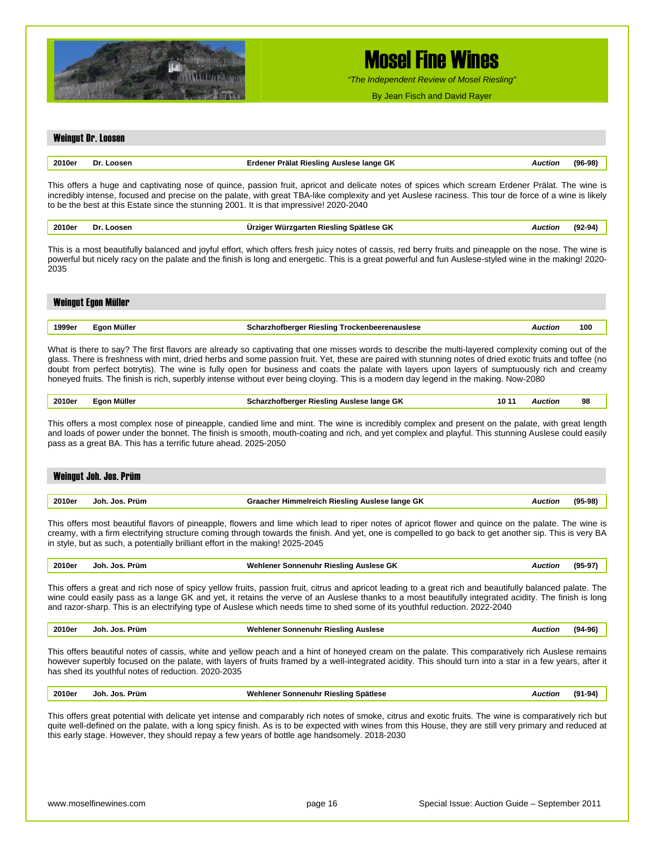

*"The Independent Review of Mosel Riesling"*

By Jean Fisch and David Rayer

## Weingut Dr. Loosen **2010er Dr. Loosen Erdener Prälat Riesling Auslese lange GK** *Auction* **(96-98)**

This offers a huge and captivating nose of quince, passion fruit, apricot and delicate notes of spices which scream Erdener Prälat. The wine is incredibly intense, focused and precise on the palate, with great TBA-like complexity and yet Auslese raciness. This tour de force of a wine is likely to be the best at this Estate since the stunning 2001. It is that impressive! 2020-2040

| 2010er<br>. | ---<br>IJΙ | . GK<br>$-$<br>siina -<br>Ter<br>м<br>энингээ<br>. | auctior.<br>. |  |
|-------------|------------|----------------------------------------------------|---------------|--|
|             |            |                                                    |               |  |

This is a most beautifully balanced and joyful effort, which offers fresh juicy notes of cassis, red berry fruits and pineapple on the nose. The wine is powerful but nicely racy on the palate and the finish is long and energetic. This is a great powerful and fun Auslese-styled wine in the making! 2020- 2035

|        | Weingut Egon Müller |                                                                 |     |
|--------|---------------------|-----------------------------------------------------------------|-----|
| 1999er | Egon Müller         | <b>Scharzhofberger Riesling Trockenbeerenauslese</b><br>Auction | 100 |

What is there to say? The first flavors are already so captivating that one misses words to describe the multi-layered complexity coming out of the glass. There is freshness with mint, dried herbs and some passion fruit. Yet, these are paired with stunning notes of dried exotic fruits and toffee (no doubt from perfect botrytis). The wine is fully open for business and coats the palate with layers upon layers of sumptuously rich and creamy honeyed fruits. The finish is rich, superbly intense without ever being cloying. This is a modern day legend in the making. Now-2080

| 2010er | Müller<br>- - | Scharzhofberger Riesling Auslese lange GK | 10 1 | uction | 98 |
|--------|---------------|-------------------------------------------|------|--------|----|
|        |               |                                           |      |        |    |

This offers a most complex nose of pineapple, candied lime and mint. The wine is incredibly complex and present on the palate, with great length and loads of power under the bonnet. The finish is smooth, mouth-coating and rich, and yet complex and playful. This stunning Auslese could easily pass as a great BA. This has a terrific future ahead. 2025-2050

|        | Weingut Joh. Jos. Prüm |                                                |                |           |
|--------|------------------------|------------------------------------------------|----------------|-----------|
|        |                        |                                                |                |           |
| 2010er | Joh. Jos. Prüm         | Graacher Himmelreich Riesling Auslese lange GK | <b>Auction</b> | $(95-98)$ |

This offers most beautiful flavors of pineapple, flowers and lime which lead to riper notes of apricot flower and quince on the palate. The wine is creamy, with a firm electrifying structure coming through towards the finish. And yet, one is compelled to go back to get another sip. This is very BA in style, but as such, a potentially brilliant effort in the making! 2025-2045

| $(95-97)$<br>Wehlener Sonnenuhr Riesling Auslese GK<br>2010er<br>Jos.<br>Prüm<br>Joh.<br>Auction<br>.<br>. |  |
|------------------------------------------------------------------------------------------------------------|--|
|------------------------------------------------------------------------------------------------------------|--|

This offers a great and rich nose of spicy yellow fruits, passion fruit, citrus and apricot leading to a great rich and beautifully balanced palate. The wine could easily pass as a lange GK and yet, it retains the verve of an Auslese thanks to a most beautifully integrated acidity. The finish is long and razor-sharp. This is an electrifying type of Auslese which needs time to shed some of its youthful reduction. 2022-2040

|  | ימה<br>10e<br>. | Prüm<br>Jos.<br>.inh | Auslese<br>Wehlener<br>Sonnenuhr<br>Rieslino<br>--<br>. | . | "י<br>m.<br>.70 ° |
|--|-----------------|----------------------|---------------------------------------------------------|---|-------------------|
|--|-----------------|----------------------|---------------------------------------------------------|---|-------------------|

This offers beautiful notes of cassis, white and yellow peach and a hint of honeyed cream on the palate. This comparatively rich Auslese remains however superbly focused on the palate, with layers of fruits framed by a well-integrated acidity. This should turn into a star in a few years, after it has shed its youthful notes of reduction. 2020-2035

| 2010er<br>. | Prüm<br>an.<br>Jor. | Spätlese<br>…eslino<br>וחז<br>.<br>the contract of the contract of the contract of |  |
|-------------|---------------------|------------------------------------------------------------------------------------|--|
|             |                     |                                                                                    |  |

This offers great potential with delicate yet intense and comparably rich notes of smoke, citrus and exotic fruits. The wine is comparatively rich but quite well-defined on the palate, with a long spicy finish. As is to be expected with wines from this House, they are still very primary and reduced at this early stage. However, they should repay a few years of bottle age handsomely. 2018-2030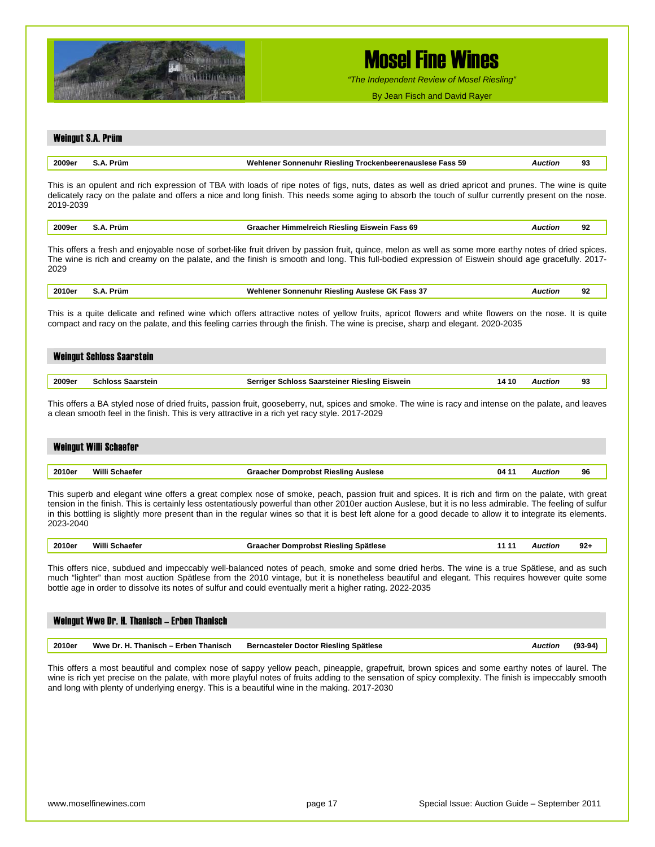

*"The Independent Review of Mosel Riesling"*

By Jean Fisch and David Rayer

### Weingut S.A. Prüm **2009er S.A. Prüm Wehlener Sonnenuhr Riesling Trockenbeerenauslese Fass 59** *Auction* **93** This is an opulent and rich expression of TBA with loads of ripe notes of figs, nuts, dates as well as dried apricot and prunes. The wine is quite delicately racy on the palate and offers a nice and long finish. This needs some aging to absorb the touch of sulfur currently present on the nose. 2019-2039

| 2009e | 'run. | ass 69<br>'IAelin<br><b>SIESIIIIL</b><br>/e11<br>,,,,,,,,,,,,,,,,,<br>. | n-<br> |
|-------|-------|-------------------------------------------------------------------------|--------|
|       |       |                                                                         |        |

This offers a fresh and enjoyable nose of sorbet-like fruit driven by passion fruit, quince, melon as well as some more earthy notes of dried spices. The wine is rich and creamy on the palate, and the finish is smooth and long. This full-bodied expression of Eiswein should age gracefully. 2017- 2029

|  | 2010er | rum | - -<br>Wehlener<br>Rieslinc<br>Sonnenuhr<br>Anelaea GK<br>+ass 3.<br>um<br>.<br>. | . | റാ<br>-94<br>$\sim$ |
|--|--------|-----|-----------------------------------------------------------------------------------|---|---------------------|
|--|--------|-----|-----------------------------------------------------------------------------------|---|---------------------|

This is a quite delicate and refined wine which offers attractive notes of yellow fruits, apricot flowers and white flowers on the nose. It is quite compact and racy on the palate, and this feeling carries through the finish. The wine is precise, sharp and elegant. 2020-2035

|        | <b>Weingut Schloss Saarstein</b> |                                               |       |         |    |  |  |
|--------|----------------------------------|-----------------------------------------------|-------|---------|----|--|--|
|        |                                  |                                               |       |         |    |  |  |
| 2009er | <b>Schloss Saarstein</b>         | Serriger Schloss Saarsteiner Riesling Eiswein | 14 10 | Auction | 93 |  |  |

This offers a BA styled nose of dried fruits, passion fruit, gooseberry, nut, spices and smoke. The wine is racy and intense on the palate, and leaves a clean smooth feel in the finish. This is very attractive in a rich yet racy style. 2017-2029

|        | Weingut Willi Schaefer     |                                                     |        |    |
|--------|----------------------------|-----------------------------------------------------|--------|----|
|        |                            |                                                     |        |    |
| 2010er | Willi<br><b>.</b> schaefer | 04 11<br><b>Graacher Domprobst Riesling Auslese</b> | uction | 96 |

This superb and elegant wine offers a great complex nose of smoke, peach, passion fruit and spices. It is rich and firm on the palate, with great tension in the finish. This is certainly less ostentatiously powerful than other 2010er auction Auslese, but it is no less admirable. The feeling of sulfur in this bottling is slightly more present than in the regular wines so that it is best left alone for a good decade to allow it to integrate its elements. 2023-2040

| 2010e.<br>. | <br>Spätlese<br>. RIASIING<br>$\cdots$<br>and the contract of the contract of the contract of the contract of the contract of the contract of the contract of the contract of the contract of the contract of the contract of the contract of the contract of the contra<br>the contract of the contract of the contract of | uctiol | n.<br>JLT |
|-------------|-----------------------------------------------------------------------------------------------------------------------------------------------------------------------------------------------------------------------------------------------------------------------------------------------------------------------------|--------|-----------|
|             |                                                                                                                                                                                                                                                                                                                             |        |           |

This offers nice, subdued and impeccably well-balanced notes of peach, smoke and some dried herbs. The wine is a true Spätlese, and as such much "lighter" than most auction Spätlese from the 2010 vintage, but it is nonetheless beautiful and elegant. This requires however quite some bottle age in order to dissolve its notes of sulfur and could eventually merit a higher rating. 2022-2035

| Weingut Wwe Dr. H. Thanisch – Erben Thanisch |        |                                      |                                       |         |         |  |  |  |  |
|----------------------------------------------|--------|--------------------------------------|---------------------------------------|---------|---------|--|--|--|--|
|                                              |        |                                      |                                       |         |         |  |  |  |  |
|                                              | 2010er | Wwe Dr. H. Thanisch – Erben Thanisch | Berncasteler Doctor Riesling Spätlese | Auction | (93-94) |  |  |  |  |

This offers a most beautiful and complex nose of sappy yellow peach, pineapple, grapefruit, brown spices and some earthy notes of laurel. The wine is rich yet precise on the palate, with more playful notes of fruits adding to the sensation of spicy complexity. The finish is impeccably smooth and long with plenty of underlying energy. This is a beautiful wine in the making. 2017-2030